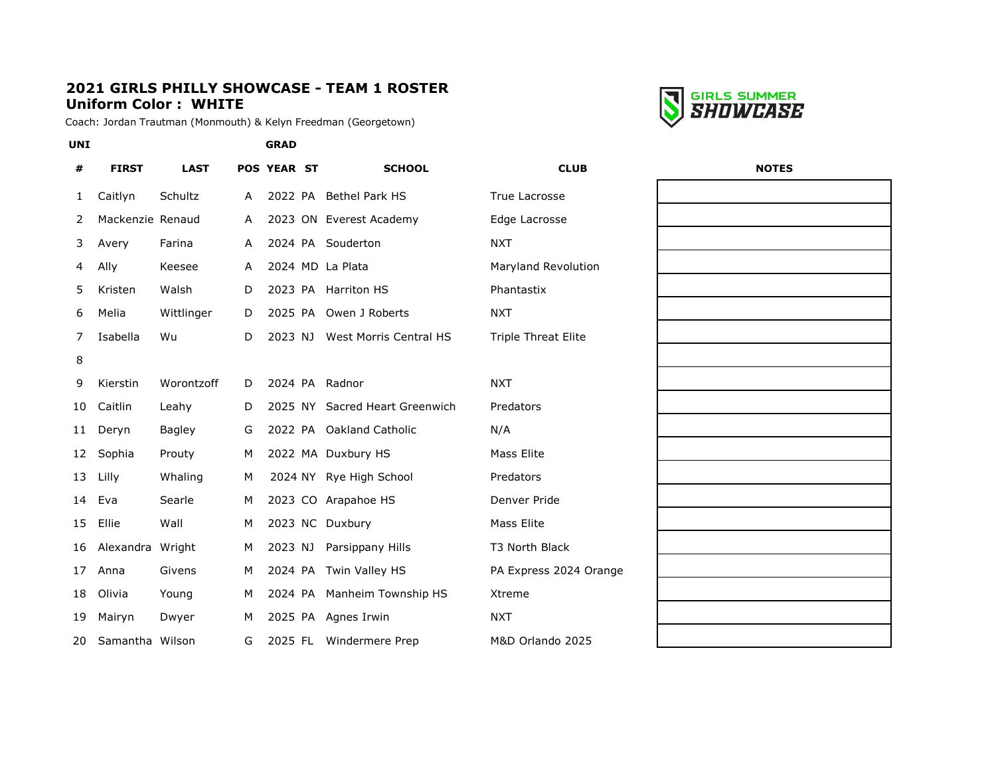#### **2021 GIRLS PHILLY SHOWCASE - TEAM 1 ROSTER Uniform Color : WHITE**

Coach: Jordan Trautman (Monmouth) & Kelyn Freedman (Georgetown)



| #  | <b>FIRST</b>     | <b>LAST</b> |   | <b>POS YEAR ST</b> | <b>SCHOOL</b>                  | <b>CLUB</b>                | <b>NOTES</b> |
|----|------------------|-------------|---|--------------------|--------------------------------|----------------------------|--------------|
| 1  | Caitlyn          | Schultz     | A |                    | 2022 PA Bethel Park HS         | True Lacrosse              |              |
| 2  | Mackenzie Renaud |             | A |                    | 2023 ON Everest Academy        | Edge Lacrosse              |              |
| 3  | Avery            | Farina      | A |                    | 2024 PA Souderton              | <b>NXT</b>                 |              |
| 4  | Ally             | Keesee      | A |                    | 2024 MD La Plata               | Maryland Revolution        |              |
| 5  | Kristen          | Walsh       | D |                    | 2023 PA Harriton HS            | Phantastix                 |              |
| 6  | Melia            | Wittlinger  | D |                    | 2025 PA Owen J Roberts         | <b>NXT</b>                 |              |
| 7  | Isabella         | Wu          | D | 2023 NJ            | West Morris Central HS         | <b>Triple Threat Elite</b> |              |
| 8  |                  |             |   |                    |                                |                            |              |
| 9  | Kierstin         | Worontzoff  | D |                    | 2024 PA Radnor                 | <b>NXT</b>                 |              |
| 10 | Caitlin          | Leahy       | D |                    | 2025 NY Sacred Heart Greenwich | Predators                  |              |
| 11 | Deryn            | Bagley      | G |                    | 2022 PA Oakland Catholic       | N/A                        |              |
| 12 | Sophia           | Prouty      | M |                    | 2022 MA Duxbury HS             | <b>Mass Elite</b>          |              |
| 13 | Lilly            | Whaling     | M |                    | 2024 NY Rye High School        | Predators                  |              |
| 14 | Eva              | Searle      | M |                    | 2023 CO Arapahoe HS            | Denver Pride               |              |
| 15 | Ellie            | Wall        | M |                    | 2023 NC Duxbury                | Mass Elite                 |              |
| 16 | Alexandra Wright |             | м | 2023 NJ            | Parsippany Hills               | T3 North Black             |              |
| 17 | Anna             | Givens      | м |                    | 2024 PA Twin Valley HS         | PA Express 2024 Orange     |              |
| 18 | Olivia           | Young       | M |                    | 2024 PA Manheim Township HS    | Xtreme                     |              |
| 19 | Mairyn           | Dwyer       | M |                    | 2025 PA Agnes Irwin            | <b>NXT</b>                 |              |
| 20 | Samantha Wilson  |             | G |                    | 2025 FL Windermere Prep        | M&D Orlando 2025           |              |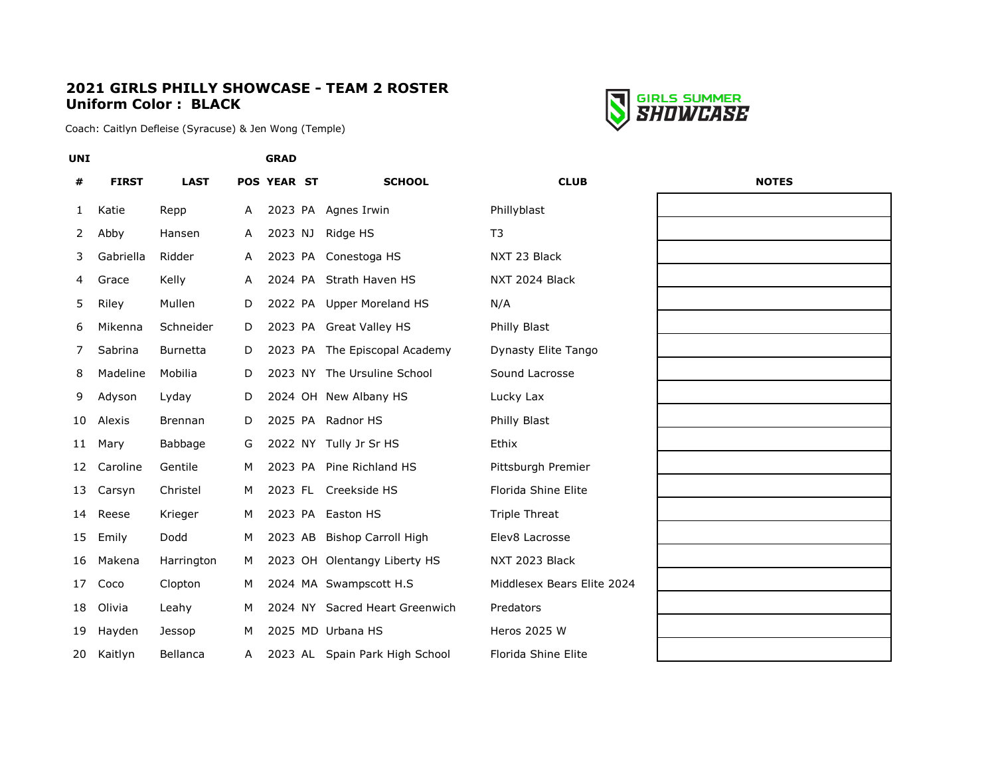#### **2021 GIRLS PHILLY SHOWCASE - TEAM 2 ROSTER Uniform Color : BLACK**



Coach: Caitlyn Defleise (Syracuse) & Jen Wong (Temple)

| <b>UNI</b> |              |                 |   | <b>GRAD</b>        |                                |                            |              |
|------------|--------------|-----------------|---|--------------------|--------------------------------|----------------------------|--------------|
| #          | <b>FIRST</b> | <b>LAST</b>     |   | <b>POS YEAR ST</b> | <b>SCHOOL</b>                  | <b>CLUB</b>                | <b>NOTES</b> |
| 1          | Katie        | Repp            | A |                    | 2023 PA Agnes Irwin            | Phillyblast                |              |
| 2          | Abby         | Hansen          | A | 2023 NJ            | Ridge HS                       | T <sub>3</sub>             |              |
| 3          | Gabriella    | Ridder          | A |                    | 2023 PA Conestoga HS           | NXT 23 Black               |              |
| 4          | Grace        | Kelly           | A |                    | 2024 PA Strath Haven HS        | NXT 2024 Black             |              |
| 5          | Riley        | Mullen          | D |                    | 2022 PA Upper Moreland HS      | N/A                        |              |
| 6          | Mikenna      | Schneider       | D |                    | 2023 PA Great Valley HS        | Philly Blast               |              |
| 7          | Sabrina      | <b>Burnetta</b> | D |                    | 2023 PA The Episcopal Academy  | Dynasty Elite Tango        |              |
| 8          | Madeline     | Mobilia         | D |                    | 2023 NY The Ursuline School    | Sound Lacrosse             |              |
| 9          | Adyson       | Lyday           | D |                    | 2024 OH New Albany HS          | Lucky Lax                  |              |
| 10         | Alexis       | <b>Brennan</b>  | D |                    | 2025 PA Radnor HS              | Philly Blast               |              |
| 11         | Mary         | Babbage         | G |                    | 2022 NY Tully Jr Sr HS         | Ethix                      |              |
| 12         | Caroline     | Gentile         | м |                    | 2023 PA Pine Richland HS       | Pittsburgh Premier         |              |
| 13         | Carsyn       | Christel        | м |                    | 2023 FL Creekside HS           | Florida Shine Elite        |              |
| 14         | Reese        | Krieger         | м |                    | 2023 PA Easton HS              | <b>Triple Threat</b>       |              |
| 15         | Emily        | Dodd            | м |                    | 2023 AB Bishop Carroll High    | Elev8 Lacrosse             |              |
| 16         | Makena       | Harrington      | м |                    | 2023 OH Olentangy Liberty HS   | NXT 2023 Black             |              |
| 17         | Coco         | Clopton         | м |                    | 2024 MA Swampscott H.S         | Middlesex Bears Elite 2024 |              |
| 18         | Olivia       | Leahy           | м |                    | 2024 NY Sacred Heart Greenwich | Predators                  |              |
| 19         | Hayden       | Jessop          | м |                    | 2025 MD Urbana HS              | Heros 2025 W               |              |
| 20         | Kaitlyn      | Bellanca        | A |                    | 2023 AL Spain Park High School | Florida Shine Elite        |              |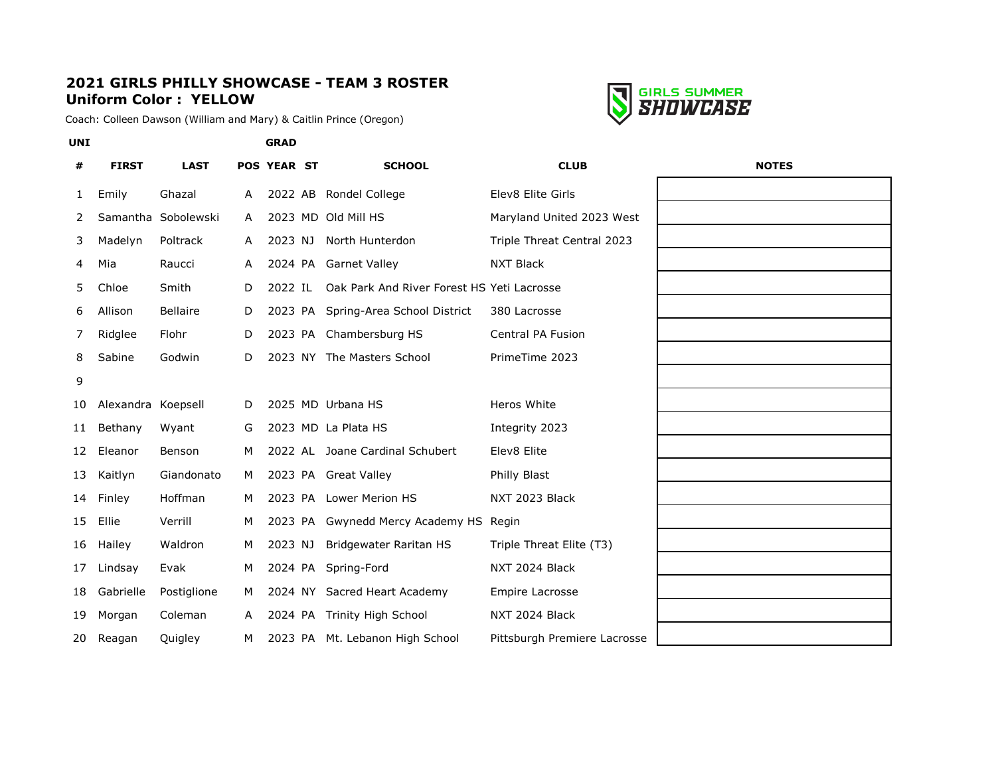## **2021 GIRLS PHILLY SHOWCASE - TEAM 3 ROSTER Uniform Color : YELLOW**

Coach: Colleen Dawson (William and Mary) & Caitlin Prince (Oregon)



| #  | <b>FIRST</b>       | <b>LAST</b>         |              | <b>POS YEAR ST</b> | <b>SCHOOL</b>                              | <b>CLUB</b>                  | <b>NOTES</b> |
|----|--------------------|---------------------|--------------|--------------------|--------------------------------------------|------------------------------|--------------|
| 1  | Emily              | Ghazal              | A            |                    | 2022 AB Rondel College                     | Elev8 Elite Girls            |              |
| 2  |                    | Samantha Sobolewski | $\mathsf{A}$ |                    | 2023 MD Old Mill HS                        | Maryland United 2023 West    |              |
| 3  | Madelyn            | Poltrack            | A            | 2023 NJ            | North Hunterdon                            | Triple Threat Central 2023   |              |
| 4  | Mia                | Raucci              | A            |                    | 2024 PA Garnet Valley                      | <b>NXT Black</b>             |              |
| 5. | Chloe              | Smith               | D            | 2022 IL            | Oak Park And River Forest HS Yeti Lacrosse |                              |              |
| 6  | Allison            | <b>Bellaire</b>     | D            |                    | 2023 PA Spring-Area School District        | 380 Lacrosse                 |              |
| 7  | Ridglee            | Flohr               | D            |                    | 2023 PA Chambersburg HS                    | <b>Central PA Fusion</b>     |              |
| 8  | Sabine             | Godwin              | D            |                    | 2023 NY The Masters School                 | PrimeTime 2023               |              |
| 9  |                    |                     |              |                    |                                            |                              |              |
| 10 | Alexandra Koepsell |                     | D            |                    | 2025 MD Urbana HS                          | Heros White                  |              |
| 11 | Bethany            | Wyant               | G            |                    | 2023 MD La Plata HS                        | Integrity 2023               |              |
| 12 | Eleanor            | Benson              | м            |                    | 2022 AL Joane Cardinal Schubert            | Elev8 Elite                  |              |
| 13 | Kaitlyn            | Giandonato          | М            |                    | 2023 PA Great Valley                       | Philly Blast                 |              |
| 14 | Finley             | Hoffman             | M            |                    | 2023 PA Lower Merion HS                    | NXT 2023 Black               |              |
| 15 | Ellie              | Verrill             | M            |                    | 2023 PA Gwynedd Mercy Academy HS           | Regin                        |              |
| 16 | Hailey             | Waldron             | M            | 2023 NJ            | Bridgewater Raritan HS                     | Triple Threat Elite (T3)     |              |
| 17 | Lindsay            | Evak                | м            |                    | 2024 PA Spring-Ford                        | NXT 2024 Black               |              |
| 18 | Gabrielle          | Postiglione         | M            |                    | 2024 NY Sacred Heart Academy               | Empire Lacrosse              |              |
| 19 | Morgan             | Coleman             | A            |                    | 2024 PA Trinity High School                | NXT 2024 Black               |              |
| 20 | Reagan             | Quigley             | м            |                    | 2023 PA Mt. Lebanon High School            | Pittsburgh Premiere Lacrosse |              |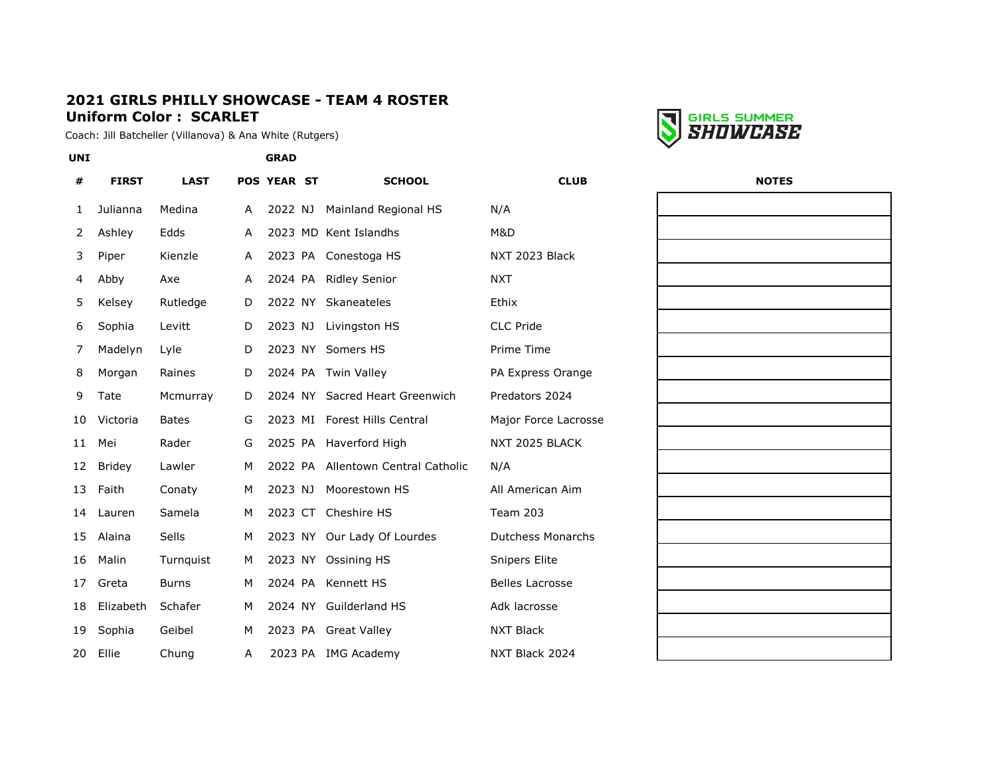### **2021 GIRLS PHILLY SHOWCASE - TEAM 4 ROSTER Uniform Color : SCARLET**

Coach: Jill Batcheller (Villanova) & Ana White (Rutgers)



| <b>UNI</b> |               |              |   | <b>GRAD</b>        |                                    |                          |              |
|------------|---------------|--------------|---|--------------------|------------------------------------|--------------------------|--------------|
| #          | <b>FIRST</b>  | <b>LAST</b>  |   | <b>POS YEAR ST</b> | <b>SCHOOL</b>                      | <b>CLUB</b>              | <b>NOTES</b> |
| 1          | Julianna      | Medina       | Α | 2022 NJ            | Mainland Regional HS               | N/A                      |              |
| 2          | Ashley        | Edds         | A |                    | 2023 MD Kent Islandhs              | M&D                      |              |
| 3          | Piper         | Kienzle      | A |                    | 2023 PA Conestoga HS               | NXT 2023 Black           |              |
| 4          | Abby          | Axe          | A | 2024 PA            | <b>Ridley Senior</b>               | <b>NXT</b>               |              |
| 5          | Kelsey        | Rutledge     | D | 2022 NY            | Skaneateles                        | Ethix                    |              |
| 6          | Sophia        | Levitt       | D | 2023 NJ            | Livingston HS                      | CLC Pride                |              |
| 7          | Madelyn       | Lyle         | D | 2023 NY            | Somers HS                          | Prime Time               |              |
| 8          | Morgan        | Raines       | D |                    | 2024 PA Twin Valley                | PA Express Orange        |              |
| 9          | Tate          | Mcmurray     | D |                    | 2024 NY Sacred Heart Greenwich     | Predators 2024           |              |
| 10         | Victoria      | <b>Bates</b> | G | 2023 MI            | <b>Forest Hills Central</b>        | Major Force Lacrosse     |              |
| 11         | Mei           | Rader        | G | 2025 PA            | Haverford High                     | NXT 2025 BLACK           |              |
| 12         | <b>Bridey</b> | Lawler       | М |                    | 2022 PA Allentown Central Catholic | N/A                      |              |
| 13         | Faith         | Conaty       | M | 2023 NJ            | Moorestown HS                      | All American Aim         |              |
| 14         | Lauren        | Samela       | M | 2023 CT            | Cheshire HS                        | Team 203                 |              |
| 15         | Alaina        | Sells        | М |                    | 2023 NY Our Lady Of Lourdes        | <b>Dutchess Monarchs</b> |              |
| 16         | Malin         | Turnquist    | M |                    | 2023 NY Ossining HS                | <b>Snipers Elite</b>     |              |
| 17         | Greta         | <b>Burns</b> | M | 2024 PA            | Kennett HS                         | <b>Belles Lacrosse</b>   |              |
| 18         | Elizabeth     | Schafer      | М |                    | 2024 NY Guilderland HS             | Adk lacrosse             |              |
| 19         | Sophia        | Geibel       | М |                    | 2023 PA Great Valley               | <b>NXT Black</b>         |              |
| 20         | Ellie         | Chung        | A |                    | 2023 PA IMG Academy                | NXT Black 2024           |              |

| <b>NOTES</b> |  |  |  |  |  |  |  |  |
|--------------|--|--|--|--|--|--|--|--|
|              |  |  |  |  |  |  |  |  |
|              |  |  |  |  |  |  |  |  |
|              |  |  |  |  |  |  |  |  |
|              |  |  |  |  |  |  |  |  |
|              |  |  |  |  |  |  |  |  |
|              |  |  |  |  |  |  |  |  |
|              |  |  |  |  |  |  |  |  |
|              |  |  |  |  |  |  |  |  |
|              |  |  |  |  |  |  |  |  |
|              |  |  |  |  |  |  |  |  |
|              |  |  |  |  |  |  |  |  |
|              |  |  |  |  |  |  |  |  |
|              |  |  |  |  |  |  |  |  |
|              |  |  |  |  |  |  |  |  |
|              |  |  |  |  |  |  |  |  |
|              |  |  |  |  |  |  |  |  |
|              |  |  |  |  |  |  |  |  |
|              |  |  |  |  |  |  |  |  |
|              |  |  |  |  |  |  |  |  |
|              |  |  |  |  |  |  |  |  |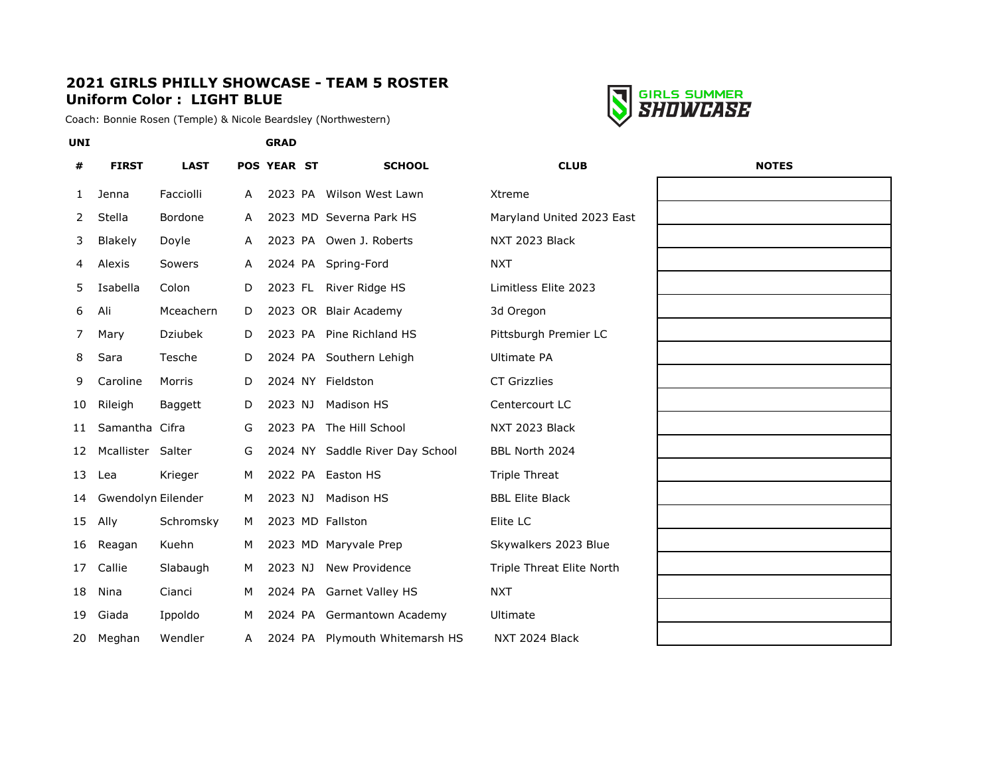# **2021 GIRLS PHILLY SHOWCASE - TEAM 5 ROSTER Uniform Color : LIGHT BLUE**

Coach: Bonnie Rosen (Temple) & Nicole Beardsley (Northwestern)



| #            | <b>FIRST</b>       | <b>LAST</b>    |              | POS YEAR ST | <b>SCHOOL</b>                   | <b>CLUB</b>               | <b>NOTES</b> |
|--------------|--------------------|----------------|--------------|-------------|---------------------------------|---------------------------|--------------|
| $\mathbf{1}$ | Jenna              | Facciolli      | A            |             | 2023 PA Wilson West Lawn        | Xtreme                    |              |
| 2            | Stella             | Bordone        | A            |             | 2023 MD Severna Park HS         | Maryland United 2023 East |              |
| 3            | Blakely            | Doyle          | $\mathsf{A}$ |             | 2023 PA Owen J. Roberts         | NXT 2023 Black            |              |
| 4            | Alexis             | <b>Sowers</b>  | A            |             | 2024 PA Spring-Ford             | <b>NXT</b>                |              |
| 5            | Isabella           | Colon          | D            | 2023 FL     | River Ridge HS                  | Limitless Elite 2023      |              |
| 6            | Ali                | Mceachern      | D            |             | 2023 OR Blair Academy           | 3d Oregon                 |              |
| 7            | Mary               | <b>Dziubek</b> | D            | 2023 PA     | Pine Richland HS                | Pittsburgh Premier LC     |              |
| 8            | Sara               | Tesche         | D            |             | 2024 PA Southern Lehigh         | <b>Ultimate PA</b>        |              |
| 9            | Caroline           | Morris         | D            |             | 2024 NY Fieldston               | <b>CT Grizzlies</b>       |              |
| 10           | Rileigh            | Baggett        | D            | 2023 NJ     | <b>Madison HS</b>               | Centercourt LC            |              |
| 11           | Samantha Cifra     |                | G            |             | 2023 PA The Hill School         | NXT 2023 Black            |              |
| 12           | Mcallister         | Salter         | G            |             | 2024 NY Saddle River Day School | BBL North 2024            |              |
| 13           | Lea                | Krieger        | M            | 2022 PA     | Easton HS                       | <b>Triple Threat</b>      |              |
| 14           | Gwendolyn Eilender |                | M            | 2023 NJ     | Madison HS                      | <b>BBL Elite Black</b>    |              |
| 15           | Ally               | Schromsky      | M            |             | 2023 MD Fallston                | Elite LC                  |              |
| 16           | Reagan             | Kuehn          | M            |             | 2023 MD Maryvale Prep           | Skywalkers 2023 Blue      |              |
| 17           | Callie             | Slabaugh       | M            | 2023 NJ     | New Providence                  | Triple Threat Elite North |              |
| 18           | Nina               | Cianci         | M            |             | 2024 PA Garnet Valley HS        | <b>NXT</b>                |              |
| 19           | Giada              | Ippoldo        | M            |             | 2024 PA Germantown Academy      | Ultimate                  |              |
| 20           | Meghan             | Wendler        | Α            |             | 2024 PA Plymouth Whitemarsh HS  | NXT 2024 Black            |              |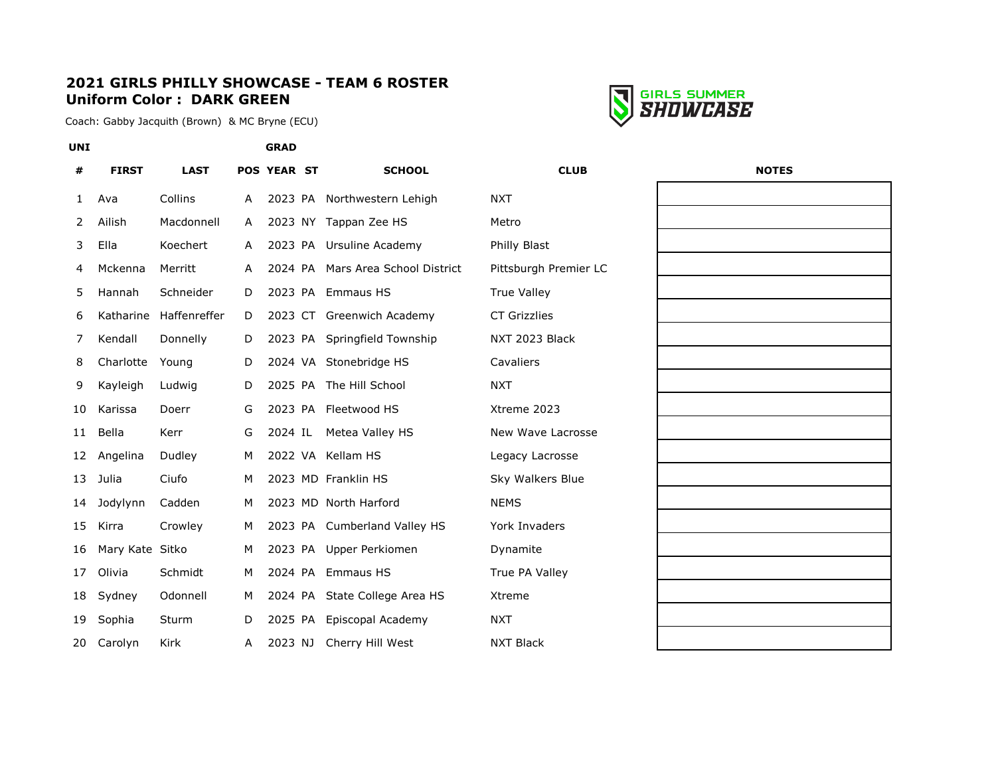## **2021 GIRLS PHILLY SHOWCASE - TEAM 6 ROSTER Uniform Color : DARK GREEN**

Coach: Gabby Jacquith (Brown) & MC Bryne (ECU)



| #  | <b>FIRST</b>    | <b>LAST</b>  |   | POS YEAR ST | <b>SCHOOL</b>                     | <b>CLUB</b>           | <b>NOTES</b> |
|----|-----------------|--------------|---|-------------|-----------------------------------|-----------------------|--------------|
| 1  | Ava             | Collins      | A |             | 2023 PA Northwestern Lehigh       | <b>NXT</b>            |              |
| 2  | Ailish          | Macdonnell   | A |             | 2023 NY Tappan Zee HS             | Metro                 |              |
| 3  | Ella            | Koechert     | A | 2023 PA     | Ursuline Academy                  | Philly Blast          |              |
| 4  | Mckenna         | Merritt      | A |             | 2024 PA Mars Area School District | Pittsburgh Premier LC |              |
| 5  | Hannah          | Schneider    | D |             | 2023 PA Emmaus HS                 | <b>True Valley</b>    |              |
| 6  | Katharine       | Haffenreffer | D |             | 2023 CT Greenwich Academy         | <b>CT Grizzlies</b>   |              |
| 7  | Kendall         | Donnelly     | D |             | 2023 PA Springfield Township      | NXT 2023 Black        |              |
| 8  | Charlotte       | Young        | D |             | 2024 VA Stonebridge HS            | Cavaliers             |              |
| 9  | Kayleigh        | Ludwig       | D |             | 2025 PA The Hill School           | <b>NXT</b>            |              |
| 10 | Karissa         | Doerr        | G |             | 2023 PA Fleetwood HS              | Xtreme 2023           |              |
| 11 | Bella           | Kerr         | G | 2024 IL     | Metea Valley HS                   | New Wave Lacrosse     |              |
| 12 | Angelina        | Dudley       | M |             | 2022 VA Kellam HS                 | Legacy Lacrosse       |              |
| 13 | Julia           | Ciufo        | M |             | 2023 MD Franklin HS               | Sky Walkers Blue      |              |
| 14 | Jodylynn        | Cadden       | M |             | 2023 MD North Harford             | <b>NEMS</b>           |              |
| 15 | Kirra           | Crowley      | M |             | 2023 PA Cumberland Valley HS      | York Invaders         |              |
| 16 | Mary Kate Sitko |              | М |             | 2023 PA Upper Perkiomen           | Dynamite              |              |
| 17 | Olivia          | Schmidt      | M | 2024 PA     | <b>Emmaus HS</b>                  | True PA Valley        |              |
| 18 | Sydney          | Odonnell     | м |             | 2024 PA State College Area HS     | Xtreme                |              |
| 19 | Sophia          | Sturm        | D | 2025 PA     | Episcopal Academy                 | <b>NXT</b>            |              |
| 20 | Carolyn         | Kirk         | A | 2023 NJ     | Cherry Hill West                  | <b>NXT Black</b>      |              |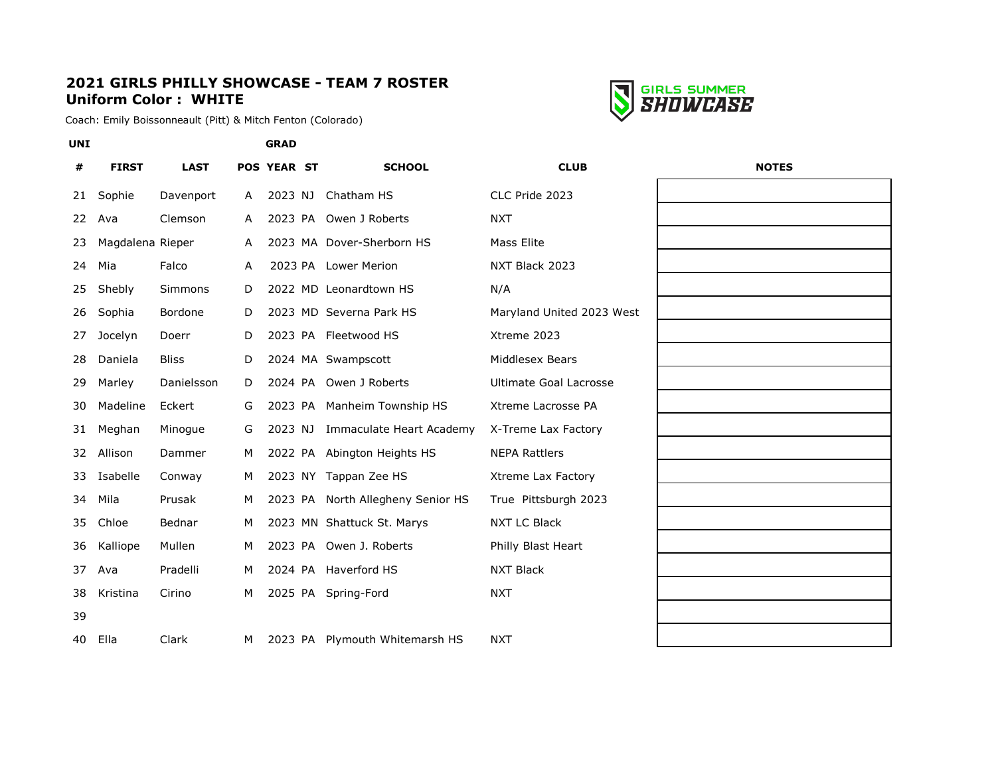## **2021 GIRLS PHILLY SHOWCASE - TEAM 7 ROSTER Uniform Color : WHITE**

Coach: Emily Boissonneault (Pitt) & Mitch Fenton (Colorado)



| #  | <b>FIRST</b>     | <b>LAST</b>    |   | <b>POS YEAR ST</b> | <b>SCHOOL</b>                     | <b>CLUB</b>                   | <b>NOTES</b> |
|----|------------------|----------------|---|--------------------|-----------------------------------|-------------------------------|--------------|
| 21 | Sophie           | Davenport      | A | 2023 NJ            | Chatham HS                        | CLC Pride 2023                |              |
| 22 | Ava              | Clemson        | A |                    | 2023 PA Owen J Roberts            | <b>NXT</b>                    |              |
| 23 | Magdalena Rieper |                | A |                    | 2023 MA Dover-Sherborn HS         | <b>Mass Elite</b>             |              |
| 24 | Mia              | Falco          | A |                    | 2023 PA Lower Merion              | NXT Black 2023                |              |
| 25 | Shebly           | <b>Simmons</b> | D |                    | 2022 MD Leonardtown HS            | N/A                           |              |
| 26 | Sophia           | Bordone        | D |                    | 2023 MD Severna Park HS           | Maryland United 2023 West     |              |
| 27 | Jocelyn          | Doerr          | D |                    | 2023 PA Fleetwood HS              | Xtreme 2023                   |              |
| 28 | Daniela          | <b>Bliss</b>   | D |                    | 2024 MA Swampscott                | Middlesex Bears               |              |
| 29 | Marley           | Danielsson     | D |                    | 2024 PA Owen J Roberts            | <b>Ultimate Goal Lacrosse</b> |              |
| 30 | Madeline         | Eckert         | G |                    | 2023 PA Manheim Township HS       | Xtreme Lacrosse PA            |              |
| 31 | Meghan           | Minogue        | G | 2023 NJ            | Immaculate Heart Academy          | X-Treme Lax Factory           |              |
| 32 | Allison          | Dammer         | м |                    | 2022 PA Abington Heights HS       | <b>NEPA Rattlers</b>          |              |
| 33 | Isabelle         | Conway         | м |                    | 2023 NY Tappan Zee HS             | Xtreme Lax Factory            |              |
| 34 | Mila             | Prusak         | м |                    | 2023 PA North Allegheny Senior HS | True Pittsburgh 2023          |              |
| 35 | Chloe            | Bednar         | M |                    | 2023 MN Shattuck St. Marys        | <b>NXT LC Black</b>           |              |
| 36 | Kalliope         | Mullen         | м |                    | 2023 PA Owen J. Roberts           | Philly Blast Heart            |              |
| 37 | Ava              | Pradelli       | M |                    | 2024 PA Haverford HS              | <b>NXT Black</b>              |              |
| 38 | Kristina         | Cirino         | м |                    | 2025 PA Spring-Ford               | <b>NXT</b>                    |              |
| 39 |                  |                |   |                    |                                   |                               |              |
| 40 | Ella             | Clark          | M |                    | 2023 PA Plymouth Whitemarsh HS    | <b>NXT</b>                    |              |